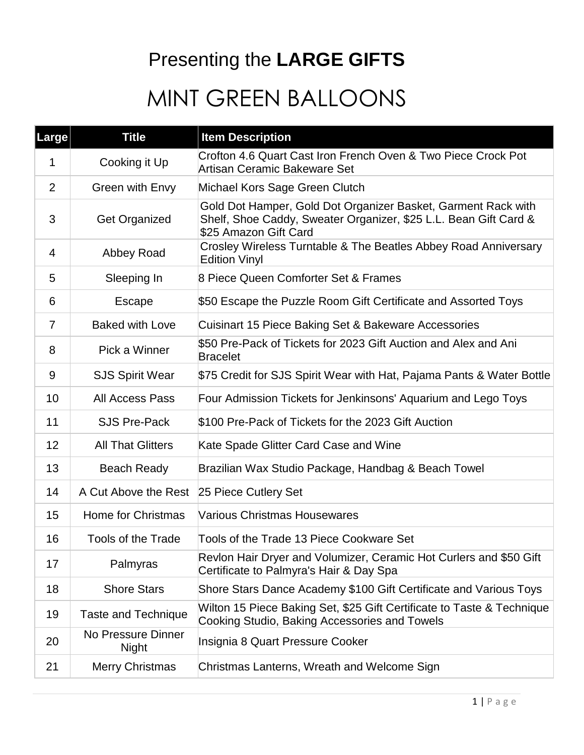### Presenting the **LARGE GIFTS**

## MINT GREEN BALLOONS

| Large          | <b>Title</b>                       | <b>Item Description</b>                                                                                                                                    |
|----------------|------------------------------------|------------------------------------------------------------------------------------------------------------------------------------------------------------|
| 1              | Cooking it Up                      | Crofton 4.6 Quart Cast Iron French Oven & Two Piece Crock Pot<br>Artisan Ceramic Bakeware Set                                                              |
| 2              | Green with Envy                    | Michael Kors Sage Green Clutch                                                                                                                             |
| 3              | <b>Get Organized</b>               | Gold Dot Hamper, Gold Dot Organizer Basket, Garment Rack with<br>Shelf, Shoe Caddy, Sweater Organizer, \$25 L.L. Bean Gift Card &<br>\$25 Amazon Gift Card |
| 4              | Abbey Road                         | Crosley Wireless Turntable & The Beatles Abbey Road Anniversary<br><b>Edition Vinyl</b>                                                                    |
| 5              | Sleeping In                        | 8 Piece Queen Comforter Set & Frames                                                                                                                       |
| 6              | Escape                             | \$50 Escape the Puzzle Room Gift Certificate and Assorted Toys                                                                                             |
| $\overline{7}$ | <b>Baked with Love</b>             | Cuisinart 15 Piece Baking Set & Bakeware Accessories                                                                                                       |
| 8              | Pick a Winner                      | \$50 Pre-Pack of Tickets for 2023 Gift Auction and Alex and Ani<br><b>Bracelet</b>                                                                         |
| 9              | <b>SJS Spirit Wear</b>             | \$75 Credit for SJS Spirit Wear with Hat, Pajama Pants & Water Bottle                                                                                      |
| 10             | <b>All Access Pass</b>             | Four Admission Tickets for Jenkinsons' Aquarium and Lego Toys                                                                                              |
| 11             | <b>SJS Pre-Pack</b>                | \$100 Pre-Pack of Tickets for the 2023 Gift Auction                                                                                                        |
| 12             | <b>All That Glitters</b>           | Kate Spade Glitter Card Case and Wine                                                                                                                      |
| 13             | <b>Beach Ready</b>                 | Brazilian Wax Studio Package, Handbag & Beach Towel                                                                                                        |
| 14             | A Cut Above the Rest               | 25 Piece Cutlery Set                                                                                                                                       |
| 15             | Home for Christmas                 | <b>Various Christmas Housewares</b>                                                                                                                        |
| 16             | <b>Tools of the Trade</b>          | Tools of the Trade 13 Piece Cookware Set                                                                                                                   |
| 17             | Palmyras                           | Revlon Hair Dryer and Volumizer, Ceramic Hot Curlers and \$50 Gift<br>Certificate to Palmyra's Hair & Day Spa                                              |
| 18             | <b>Shore Stars</b>                 | Shore Stars Dance Academy \$100 Gift Certificate and Various Toys                                                                                          |
| 19             | <b>Taste and Technique</b>         | Wilton 15 Piece Baking Set, \$25 Gift Certificate to Taste & Technique<br>Cooking Studio, Baking Accessories and Towels                                    |
| 20             | No Pressure Dinner<br><b>Night</b> | Insignia 8 Quart Pressure Cooker                                                                                                                           |
| 21             | <b>Merry Christmas</b>             | Christmas Lanterns, Wreath and Welcome Sign                                                                                                                |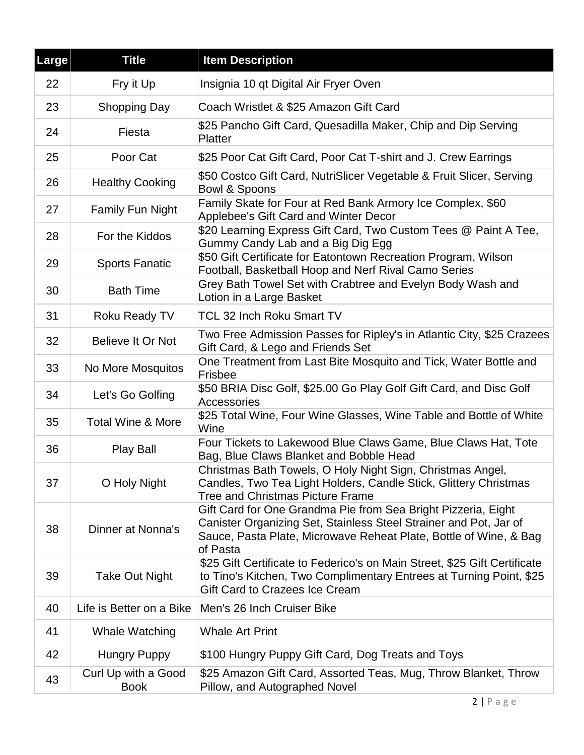| Large | <b>Title</b>                       | <b>Item Description</b>                                                                                                                                                                                             |
|-------|------------------------------------|---------------------------------------------------------------------------------------------------------------------------------------------------------------------------------------------------------------------|
| 22    | Fry it Up                          | Insignia 10 qt Digital Air Fryer Oven                                                                                                                                                                               |
| 23    | Shopping Day                       | Coach Wristlet & \$25 Amazon Gift Card                                                                                                                                                                              |
| 24    | Fiesta                             | \$25 Pancho Gift Card, Quesadilla Maker, Chip and Dip Serving<br>Platter                                                                                                                                            |
| 25    | Poor Cat                           | \$25 Poor Cat Gift Card, Poor Cat T-shirt and J. Crew Earrings                                                                                                                                                      |
| 26    | <b>Healthy Cooking</b>             | \$50 Costco Gift Card, NutriSlicer Vegetable & Fruit Slicer, Serving<br><b>Bowl &amp; Spoons</b>                                                                                                                    |
| 27    | <b>Family Fun Night</b>            | Family Skate for Four at Red Bank Armory Ice Complex, \$60<br>Applebee's Gift Card and Winter Decor                                                                                                                 |
| 28    | For the Kiddos                     | \$20 Learning Express Gift Card, Two Custom Tees @ Paint A Tee,<br>Gummy Candy Lab and a Big Dig Egg                                                                                                                |
| 29    | <b>Sports Fanatic</b>              | \$50 Gift Certificate for Eatontown Recreation Program, Wilson<br>Football, Basketball Hoop and Nerf Rival Camo Series                                                                                              |
| 30    | <b>Bath Time</b>                   | Grey Bath Towel Set with Crabtree and Evelyn Body Wash and<br>Lotion in a Large Basket                                                                                                                              |
| 31    | Roku Ready TV                      | <b>TCL 32 Inch Roku Smart TV</b>                                                                                                                                                                                    |
| 32    | Believe It Or Not                  | Two Free Admission Passes for Ripley's in Atlantic City, \$25 Crazees<br>Gift Card, & Lego and Friends Set                                                                                                          |
| 33    | No More Mosquitos                  | One Treatment from Last Bite Mosquito and Tick, Water Bottle and<br>Frisbee                                                                                                                                         |
| 34    | Let's Go Golfing                   | \$50 BRIA Disc Golf, \$25.00 Go Play Golf Gift Card, and Disc Golf<br>Accessories                                                                                                                                   |
| 35    | <b>Total Wine &amp; More</b>       | \$25 Total Wine, Four Wine Glasses, Wine Table and Bottle of White<br>Wine                                                                                                                                          |
| 36    | <b>Play Ball</b>                   | Four Tickets to Lakewood Blue Claws Game, Blue Claws Hat, Tote<br>Bag, Blue Claws Blanket and Bobble Head                                                                                                           |
| 37    | O Holy Night                       | Christmas Bath Towels, O Holy Night Sign, Christmas Angel,<br>Candles, Two Tea Light Holders, Candle Stick, Glittery Christmas<br>Tree and Christmas Picture Frame                                                  |
| 38    | Dinner at Nonna's                  | Gift Card for One Grandma Pie from Sea Bright Pizzeria, Eight<br>Canister Organizing Set, Stainless Steel Strainer and Pot, Jar of<br>Sauce, Pasta Plate, Microwave Reheat Plate, Bottle of Wine, & Bag<br>of Pasta |
| 39    | <b>Take Out Night</b>              | \$25 Gift Certificate to Federico's on Main Street, \$25 Gift Certificate<br>to Tino's Kitchen, Two Complimentary Entrees at Turning Point, \$25<br><b>Gift Card to Crazees Ice Cream</b>                           |
| 40    | Life is Better on a Bike           | Men's 26 Inch Cruiser Bike                                                                                                                                                                                          |
| 41    | Whale Watching                     | <b>Whale Art Print</b>                                                                                                                                                                                              |
| 42    | <b>Hungry Puppy</b>                | \$100 Hungry Puppy Gift Card, Dog Treats and Toys                                                                                                                                                                   |
| 43    | Curl Up with a Good<br><b>Book</b> | \$25 Amazon Gift Card, Assorted Teas, Mug, Throw Blanket, Throw<br>Pillow, and Autographed Novel                                                                                                                    |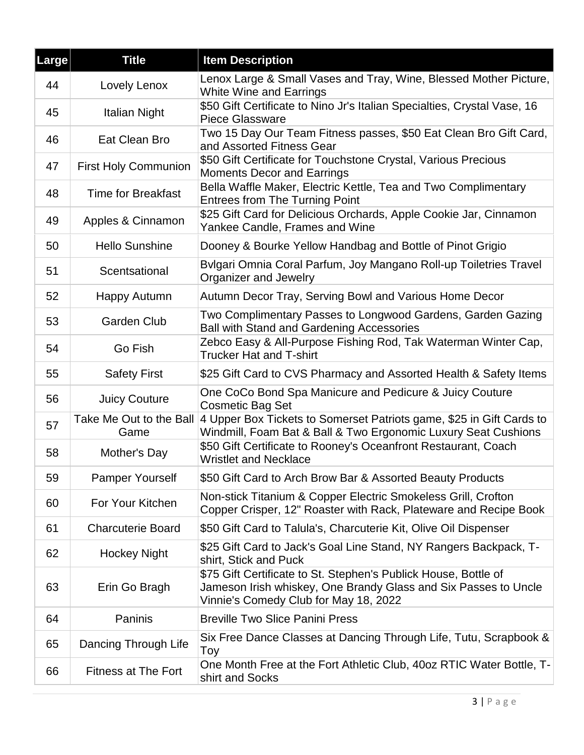| <b>Large</b> | <b>Title</b>                    | <b>Item Description</b>                                                                                                                                                     |
|--------------|---------------------------------|-----------------------------------------------------------------------------------------------------------------------------------------------------------------------------|
| 44           | Lovely Lenox                    | Lenox Large & Small Vases and Tray, Wine, Blessed Mother Picture,<br><b>White Wine and Earrings</b>                                                                         |
| 45           | Italian Night                   | \$50 Gift Certificate to Nino Jr's Italian Specialties, Crystal Vase, 16<br><b>Piece Glassware</b>                                                                          |
| 46           | Eat Clean Bro                   | Two 15 Day Our Team Fitness passes, \$50 Eat Clean Bro Gift Card,<br>and Assorted Fitness Gear                                                                              |
| 47           | <b>First Holy Communion</b>     | \$50 Gift Certificate for Touchstone Crystal, Various Precious<br><b>Moments Decor and Earrings</b>                                                                         |
| 48           | <b>Time for Breakfast</b>       | Bella Waffle Maker, Electric Kettle, Tea and Two Complimentary<br><b>Entrees from The Turning Point</b>                                                                     |
| 49           | Apples & Cinnamon               | \$25 Gift Card for Delicious Orchards, Apple Cookie Jar, Cinnamon<br>Yankee Candle, Frames and Wine                                                                         |
| 50           | <b>Hello Sunshine</b>           | Dooney & Bourke Yellow Handbag and Bottle of Pinot Grigio                                                                                                                   |
| 51           | Scentsational                   | Bylgari Omnia Coral Parfum, Joy Mangano Roll-up Toiletries Travel<br>Organizer and Jewelry                                                                                  |
| 52           | Happy Autumn                    | Autumn Decor Tray, Serving Bowl and Various Home Decor                                                                                                                      |
| 53           | <b>Garden Club</b>              | Two Complimentary Passes to Longwood Gardens, Garden Gazing<br><b>Ball with Stand and Gardening Accessories</b>                                                             |
| 54           | Go Fish                         | Zebco Easy & All-Purpose Fishing Rod, Tak Waterman Winter Cap,<br><b>Trucker Hat and T-shirt</b>                                                                            |
| 55           | <b>Safety First</b>             | \$25 Gift Card to CVS Pharmacy and Assorted Health & Safety Items                                                                                                           |
| 56           | <b>Juicy Couture</b>            | One CoCo Bond Spa Manicure and Pedicure & Juicy Couture<br><b>Cosmetic Bag Set</b>                                                                                          |
| 57           | Take Me Out to the Ball<br>Game | 4 Upper Box Tickets to Somerset Patriots game, \$25 in Gift Cards to<br>Windmill, Foam Bat & Ball & Two Ergonomic Luxury Seat Cushions                                      |
| 58           | Mother's Day                    | \$50 Gift Certificate to Rooney's Oceanfront Restaurant, Coach<br><b>Wristlet and Necklace</b>                                                                              |
| 59           | <b>Pamper Yourself</b>          | \$50 Gift Card to Arch Brow Bar & Assorted Beauty Products                                                                                                                  |
| 60           | For Your Kitchen                | Non-stick Titanium & Copper Electric Smokeless Grill, Crofton<br>Copper Crisper, 12" Roaster with Rack, Plateware and Recipe Book                                           |
| 61           | <b>Charcuterie Board</b>        | \$50 Gift Card to Talula's, Charcuterie Kit, Olive Oil Dispenser                                                                                                            |
| 62           | <b>Hockey Night</b>             | \$25 Gift Card to Jack's Goal Line Stand, NY Rangers Backpack, T-<br>shirt, Stick and Puck                                                                                  |
| 63           | Erin Go Bragh                   | \$75 Gift Certificate to St. Stephen's Publick House, Bottle of<br>Jameson Irish whiskey, One Brandy Glass and Six Passes to Uncle<br>Vinnie's Comedy Club for May 18, 2022 |
| 64           | Paninis                         | <b>Breville Two Slice Panini Press</b>                                                                                                                                      |
| 65           | Dancing Through Life            | Six Free Dance Classes at Dancing Through Life, Tutu, Scrapbook &<br>Toy                                                                                                    |
| 66           | <b>Fitness at The Fort</b>      | One Month Free at the Fort Athletic Club, 40oz RTIC Water Bottle, T-<br>shirt and Socks                                                                                     |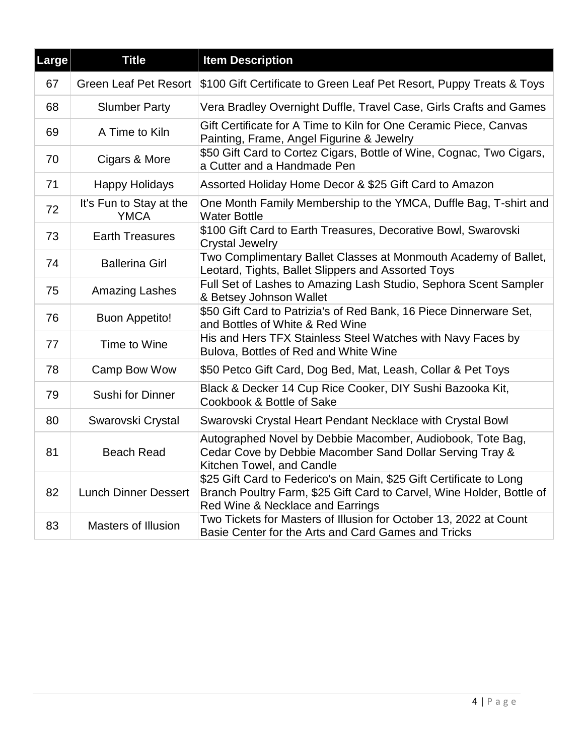| Large | <b>Title</b>                           | <b>Item Description</b>                                                                                                                                                          |
|-------|----------------------------------------|----------------------------------------------------------------------------------------------------------------------------------------------------------------------------------|
| 67    | <b>Green Leaf Pet Resort</b>           | \$100 Gift Certificate to Green Leaf Pet Resort, Puppy Treats & Toys                                                                                                             |
| 68    | <b>Slumber Party</b>                   | Vera Bradley Overnight Duffle, Travel Case, Girls Crafts and Games                                                                                                               |
| 69    | A Time to Kiln                         | Gift Certificate for A Time to Kiln for One Ceramic Piece, Canvas<br>Painting, Frame, Angel Figurine & Jewelry                                                                   |
| 70    | Cigars & More                          | \$50 Gift Card to Cortez Cigars, Bottle of Wine, Cognac, Two Cigars,<br>a Cutter and a Handmade Pen                                                                              |
| 71    | <b>Happy Holidays</b>                  | Assorted Holiday Home Decor & \$25 Gift Card to Amazon                                                                                                                           |
| 72    | It's Fun to Stay at the<br><b>YMCA</b> | One Month Family Membership to the YMCA, Duffle Bag, T-shirt and<br><b>Water Bottle</b>                                                                                          |
| 73    | <b>Earth Treasures</b>                 | \$100 Gift Card to Earth Treasures, Decorative Bowl, Swarovski<br><b>Crystal Jewelry</b>                                                                                         |
| 74    | <b>Ballerina Girl</b>                  | Two Complimentary Ballet Classes at Monmouth Academy of Ballet,<br>Leotard, Tights, Ballet Slippers and Assorted Toys                                                            |
| 75    | <b>Amazing Lashes</b>                  | Full Set of Lashes to Amazing Lash Studio, Sephora Scent Sampler<br>& Betsey Johnson Wallet                                                                                      |
| 76    | <b>Buon Appetito!</b>                  | \$50 Gift Card to Patrizia's of Red Bank, 16 Piece Dinnerware Set,<br>and Bottles of White & Red Wine                                                                            |
| 77    | Time to Wine                           | His and Hers TFX Stainless Steel Watches with Navy Faces by<br>Bulova, Bottles of Red and White Wine                                                                             |
| 78    | Camp Bow Wow                           | \$50 Petco Gift Card, Dog Bed, Mat, Leash, Collar & Pet Toys                                                                                                                     |
| 79    | Sushi for Dinner                       | Black & Decker 14 Cup Rice Cooker, DIY Sushi Bazooka Kit,<br>Cookbook & Bottle of Sake                                                                                           |
| 80    | Swarovski Crystal                      | Swarovski Crystal Heart Pendant Necklace with Crystal Bowl                                                                                                                       |
| 81    | <b>Beach Read</b>                      | Autographed Novel by Debbie Macomber, Audiobook, Tote Bag,<br>Cedar Cove by Debbie Macomber Sand Dollar Serving Tray &<br>Kitchen Towel, and Candle                              |
| 82    | <b>Lunch Dinner Dessert</b>            | \$25 Gift Card to Federico's on Main, \$25 Gift Certificate to Long<br>Branch Poultry Farm, \$25 Gift Card to Carvel, Wine Holder, Bottle of<br>Red Wine & Necklace and Earrings |
| 83    | <b>Masters of Illusion</b>             | Two Tickets for Masters of Illusion for October 13, 2022 at Count<br>Basie Center for the Arts and Card Games and Tricks                                                         |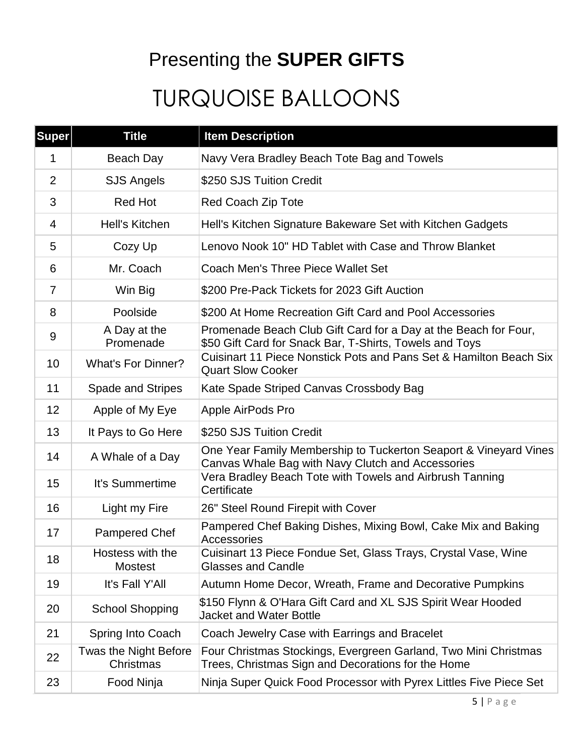### Presenting the **SUPER GIFTS**

# TURQUOISE BALLOONS

| <b>Super</b>   | <b>Title</b>                       | <b>Item Description</b>                                                                                                    |
|----------------|------------------------------------|----------------------------------------------------------------------------------------------------------------------------|
| $\mathbf 1$    | Beach Day                          | Navy Vera Bradley Beach Tote Bag and Towels                                                                                |
| $\overline{2}$ | <b>SJS Angels</b>                  | \$250 SJS Tuition Credit                                                                                                   |
| 3              | <b>Red Hot</b>                     | Red Coach Zip Tote                                                                                                         |
| 4              | <b>Hell's Kitchen</b>              | Hell's Kitchen Signature Bakeware Set with Kitchen Gadgets                                                                 |
| 5              | Cozy Up                            | Lenovo Nook 10" HD Tablet with Case and Throw Blanket                                                                      |
| 6              | Mr. Coach                          | Coach Men's Three Piece Wallet Set                                                                                         |
| $\overline{7}$ | Win Big                            | \$200 Pre-Pack Tickets for 2023 Gift Auction                                                                               |
| 8              | Poolside                           | \$200 At Home Recreation Gift Card and Pool Accessories                                                                    |
| 9              | A Day at the<br>Promenade          | Promenade Beach Club Gift Card for a Day at the Beach for Four,<br>\$50 Gift Card for Snack Bar, T-Shirts, Towels and Toys |
| 10             | <b>What's For Dinner?</b>          | Cuisinart 11 Piece Nonstick Pots and Pans Set & Hamilton Beach Six<br><b>Quart Slow Cooker</b>                             |
| 11             | Spade and Stripes                  | Kate Spade Striped Canvas Crossbody Bag                                                                                    |
| 12             | Apple of My Eye                    | Apple AirPods Pro                                                                                                          |
| 13             | It Pays to Go Here                 | \$250 SJS Tuition Credit                                                                                                   |
| 14             | A Whale of a Day                   | One Year Family Membership to Tuckerton Seaport & Vineyard Vines<br>Canvas Whale Bag with Navy Clutch and Accessories      |
| 15             | It's Summertime                    | Vera Bradley Beach Tote with Towels and Airbrush Tanning<br>Certificate                                                    |
| 16             | Light my Fire                      | 26" Steel Round Firepit with Cover                                                                                         |
| 17             | <b>Pampered Chef</b>               | Pampered Chef Baking Dishes, Mixing Bowl, Cake Mix and Baking<br>Accessories                                               |
| 18             | Hostess with the<br><b>Mostest</b> | Cuisinart 13 Piece Fondue Set, Glass Trays, Crystal Vase, Wine<br><b>Glasses and Candle</b>                                |
| 19             | It's Fall Y'All                    | Autumn Home Decor, Wreath, Frame and Decorative Pumpkins                                                                   |
| 20             | <b>School Shopping</b>             | \$150 Flynn & O'Hara Gift Card and XL SJS Spirit Wear Hooded<br><b>Jacket and Water Bottle</b>                             |
| 21             | Spring Into Coach                  | Coach Jewelry Case with Earrings and Bracelet                                                                              |
| 22             | Twas the Night Before<br>Christmas | Four Christmas Stockings, Evergreen Garland, Two Mini Christmas<br>Trees, Christmas Sign and Decorations for the Home      |
| 23             | Food Ninja                         | Ninja Super Quick Food Processor with Pyrex Littles Five Piece Set                                                         |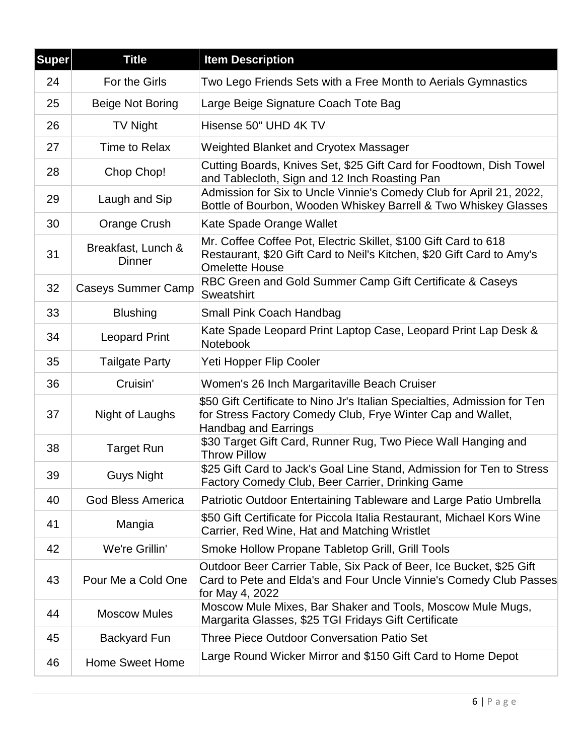| <b>Super</b> | <b>Title</b>                        | <b>Item Description</b>                                                                                                                                                 |
|--------------|-------------------------------------|-------------------------------------------------------------------------------------------------------------------------------------------------------------------------|
| 24           | For the Girls                       | Two Lego Friends Sets with a Free Month to Aerials Gymnastics                                                                                                           |
| 25           | Beige Not Boring                    | Large Beige Signature Coach Tote Bag                                                                                                                                    |
| 26           | <b>TV Night</b>                     | Hisense 50" UHD 4K TV                                                                                                                                                   |
| 27           | Time to Relax                       | Weighted Blanket and Cryotex Massager                                                                                                                                   |
| 28           | Chop Chop!                          | Cutting Boards, Knives Set, \$25 Gift Card for Foodtown, Dish Towel<br>and Tablecloth, Sign and 12 Inch Roasting Pan                                                    |
| 29           | Laugh and Sip                       | Admission for Six to Uncle Vinnie's Comedy Club for April 21, 2022,<br>Bottle of Bourbon, Wooden Whiskey Barrell & Two Whiskey Glasses                                  |
| 30           | Orange Crush                        | Kate Spade Orange Wallet                                                                                                                                                |
| 31           | Breakfast, Lunch &<br><b>Dinner</b> | Mr. Coffee Coffee Pot, Electric Skillet, \$100 Gift Card to 618<br>Restaurant, \$20 Gift Card to Neil's Kitchen, \$20 Gift Card to Amy's<br><b>Omelette House</b>       |
| 32           | <b>Caseys Summer Camp</b>           | RBC Green and Gold Summer Camp Gift Certificate & Caseys<br>Sweatshirt                                                                                                  |
| 33           | <b>Blushing</b>                     | <b>Small Pink Coach Handbag</b>                                                                                                                                         |
| 34           | <b>Leopard Print</b>                | Kate Spade Leopard Print Laptop Case, Leopard Print Lap Desk &<br><b>Notebook</b>                                                                                       |
| 35           | <b>Tailgate Party</b>               | Yeti Hopper Flip Cooler                                                                                                                                                 |
| 36           | Cruisin'                            | Women's 26 Inch Margaritaville Beach Cruiser                                                                                                                            |
| 37           | Night of Laughs                     | \$50 Gift Certificate to Nino Jr's Italian Specialties, Admission for Ten<br>for Stress Factory Comedy Club, Frye Winter Cap and Wallet,<br><b>Handbag and Earrings</b> |
| 38           | <b>Target Run</b>                   | \$30 Target Gift Card, Runner Rug, Two Piece Wall Hanging and<br><b>Throw Pillow</b>                                                                                    |
| 39           | <b>Guys Night</b>                   | \$25 Gift Card to Jack's Goal Line Stand, Admission for Ten to Stress<br>Factory Comedy Club, Beer Carrier, Drinking Game                                               |
| 40           | <b>God Bless America</b>            | Patriotic Outdoor Entertaining Tableware and Large Patio Umbrella                                                                                                       |
| 41           | Mangia                              | \$50 Gift Certificate for Piccola Italia Restaurant, Michael Kors Wine<br>Carrier, Red Wine, Hat and Matching Wristlet                                                  |
| 42           | We're Grillin'                      | Smoke Hollow Propane Tabletop Grill, Grill Tools                                                                                                                        |
| 43           | Pour Me a Cold One                  | Outdoor Beer Carrier Table, Six Pack of Beer, Ice Bucket, \$25 Gift<br>Card to Pete and Elda's and Four Uncle Vinnie's Comedy Club Passes<br>for May 4, 2022            |
| 44           | <b>Moscow Mules</b>                 | Moscow Mule Mixes, Bar Shaker and Tools, Moscow Mule Mugs,<br>Margarita Glasses, \$25 TGI Fridays Gift Certificate                                                      |
| 45           | <b>Backyard Fun</b>                 | Three Piece Outdoor Conversation Patio Set                                                                                                                              |
| 46           | <b>Home Sweet Home</b>              | Large Round Wicker Mirror and \$150 Gift Card to Home Depot                                                                                                             |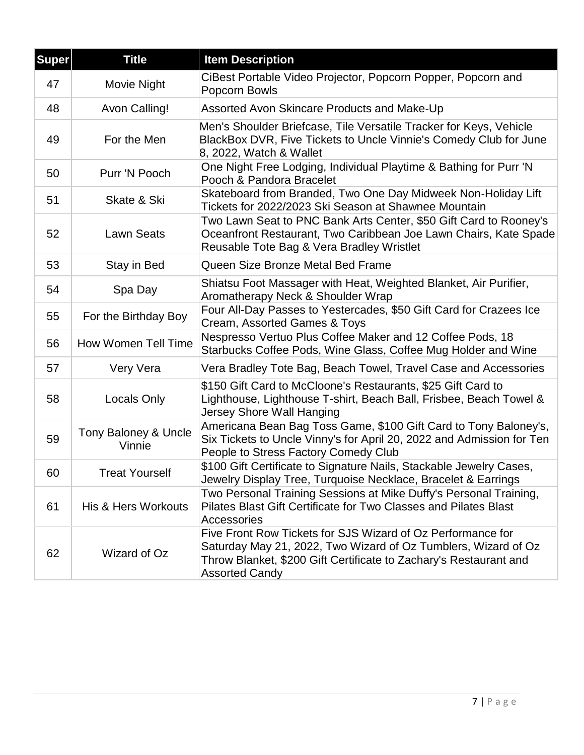| <b>Super</b> | <b>Title</b>                   | <b>Item Description</b>                                                                                                                                                                                                     |
|--------------|--------------------------------|-----------------------------------------------------------------------------------------------------------------------------------------------------------------------------------------------------------------------------|
| 47           | Movie Night                    | CiBest Portable Video Projector, Popcorn Popper, Popcorn and<br>Popcorn Bowls                                                                                                                                               |
| 48           | Avon Calling!                  | Assorted Avon Skincare Products and Make-Up                                                                                                                                                                                 |
| 49           | For the Men                    | Men's Shoulder Briefcase, Tile Versatile Tracker for Keys, Vehicle<br>BlackBox DVR, Five Tickets to Uncle Vinnie's Comedy Club for June<br>8, 2022, Watch & Wallet                                                          |
| 50           | Purr 'N Pooch                  | One Night Free Lodging, Individual Playtime & Bathing for Purr 'N<br>Pooch & Pandora Bracelet                                                                                                                               |
| 51           | Skate & Ski                    | Skateboard from Branded, Two One Day Midweek Non-Holiday Lift<br>Tickets for 2022/2023 Ski Season at Shawnee Mountain                                                                                                       |
| 52           | Lawn Seats                     | Two Lawn Seat to PNC Bank Arts Center, \$50 Gift Card to Rooney's<br>Oceanfront Restaurant, Two Caribbean Joe Lawn Chairs, Kate Spade<br>Reusable Tote Bag & Vera Bradley Wristlet                                          |
| 53           | Stay in Bed                    | Queen Size Bronze Metal Bed Frame                                                                                                                                                                                           |
| 54           | Spa Day                        | Shiatsu Foot Massager with Heat, Weighted Blanket, Air Purifier,<br>Aromatherapy Neck & Shoulder Wrap                                                                                                                       |
| 55           | For the Birthday Boy           | Four All-Day Passes to Yestercades, \$50 Gift Card for Crazees Ice<br>Cream, Assorted Games & Toys                                                                                                                          |
| 56           | How Women Tell Time            | Nespresso Vertuo Plus Coffee Maker and 12 Coffee Pods, 18<br>Starbucks Coffee Pods, Wine Glass, Coffee Mug Holder and Wine                                                                                                  |
| 57           | Very Vera                      | Vera Bradley Tote Bag, Beach Towel, Travel Case and Accessories                                                                                                                                                             |
| 58           | Locals Only                    | \$150 Gift Card to McCloone's Restaurants, \$25 Gift Card to<br>Lighthouse, Lighthouse T-shirt, Beach Ball, Frisbee, Beach Towel &<br>Jersey Shore Wall Hanging                                                             |
| 59           | Tony Baloney & Uncle<br>Vinnie | Americana Bean Bag Toss Game, \$100 Gift Card to Tony Baloney's,<br>Six Tickets to Uncle Vinny's for April 20, 2022 and Admission for Ten<br>People to Stress Factory Comedy Club                                           |
| 60           | <b>Treat Yourself</b>          | \$100 Gift Certificate to Signature Nails, Stackable Jewelry Cases,<br>Jewelry Display Tree, Turquoise Necklace, Bracelet & Earrings                                                                                        |
| 61           | His & Hers Workouts            | Two Personal Training Sessions at Mike Duffy's Personal Training,<br>Pilates Blast Gift Certificate for Two Classes and Pilates Blast<br>Accessories                                                                        |
| 62           | Wizard of Oz                   | Five Front Row Tickets for SJS Wizard of Oz Performance for<br>Saturday May 21, 2022, Two Wizard of Oz Tumblers, Wizard of Oz<br>Throw Blanket, \$200 Gift Certificate to Zachary's Restaurant and<br><b>Assorted Candy</b> |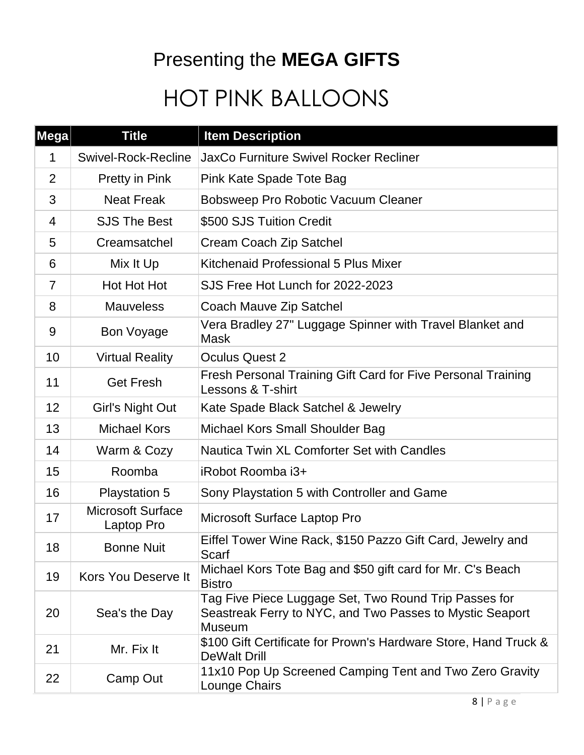### Presenting the **MEGA GIFTS**

# HOT PINK BALLOONS

| Mega           | <b>Title</b>                           | <b>Item Description</b>                                                                                                            |
|----------------|----------------------------------------|------------------------------------------------------------------------------------------------------------------------------------|
| 1              | <b>Swivel-Rock-Recline</b>             | <b>JaxCo Furniture Swivel Rocker Recliner</b>                                                                                      |
| 2              | Pretty in Pink                         | Pink Kate Spade Tote Bag                                                                                                           |
| 3              | <b>Neat Freak</b>                      | Bobsweep Pro Robotic Vacuum Cleaner                                                                                                |
| 4              | <b>SJS The Best</b>                    | \$500 SJS Tuition Credit                                                                                                           |
| 5              | Creamsatchel                           | Cream Coach Zip Satchel                                                                                                            |
| 6              | Mix It Up                              | Kitchenaid Professional 5 Plus Mixer                                                                                               |
| $\overline{7}$ | Hot Hot Hot                            | SJS Free Hot Lunch for 2022-2023                                                                                                   |
| 8              | <b>Mauveless</b>                       | Coach Mauve Zip Satchel                                                                                                            |
| 9              | <b>Bon Voyage</b>                      | Vera Bradley 27" Luggage Spinner with Travel Blanket and<br><b>Mask</b>                                                            |
| 10             | <b>Virtual Reality</b>                 | <b>Oculus Quest 2</b>                                                                                                              |
| 11             | <b>Get Fresh</b>                       | Fresh Personal Training Gift Card for Five Personal Training<br>Lessons & T-shirt                                                  |
| 12             | Girl's Night Out                       | Kate Spade Black Satchel & Jewelry                                                                                                 |
| 13             | <b>Michael Kors</b>                    | Michael Kors Small Shoulder Bag                                                                                                    |
| 14             | Warm & Cozy                            | Nautica Twin XL Comforter Set with Candles                                                                                         |
| 15             | Roomba                                 | iRobot Roomba i3+                                                                                                                  |
| 16             | <b>Playstation 5</b>                   | Sony Playstation 5 with Controller and Game                                                                                        |
| 17             | <b>Microsoft Surface</b><br>Laptop Pro | Microsoft Surface Laptop Pro                                                                                                       |
| 18             | <b>Bonne Nuit</b>                      | Eiffel Tower Wine Rack, \$150 Pazzo Gift Card, Jewelry and<br>Scarf                                                                |
| 19             | <b>Kors You Deserve It</b>             | Michael Kors Tote Bag and \$50 gift card for Mr. C's Beach<br><b>Bistro</b>                                                        |
| 20             | Sea's the Day                          | Tag Five Piece Luggage Set, Two Round Trip Passes for<br>Seastreak Ferry to NYC, and Two Passes to Mystic Seaport<br><b>Museum</b> |
| 21             | Mr. Fix It                             | \$100 Gift Certificate for Prown's Hardware Store, Hand Truck &<br><b>DeWalt Drill</b>                                             |
| 22             | Camp Out                               | 11x10 Pop Up Screened Camping Tent and Two Zero Gravity<br>Lounge Chairs                                                           |